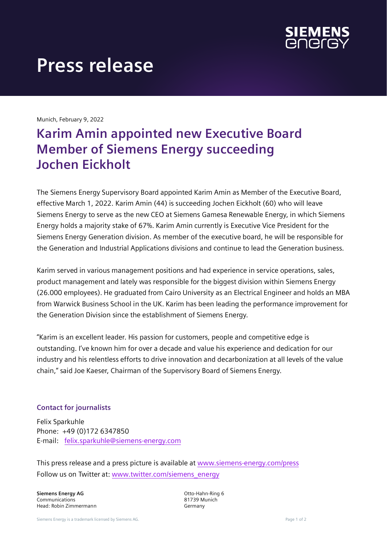

## **Press release**

Munich, February 9, 2022

## **Karim Amin appointed new Executive Board Member of Siemens Energy succeeding Jochen Eickholt**

The Siemens Energy Supervisory Board appointed Karim Amin as Member of the Executive Board, effective March 1, 2022. Karim Amin (44) is succeeding Jochen Eickholt (60) who will leave Siemens Energy to serve as the new CEO at Siemens Gamesa Renewable Energy, in which Siemens Energy holds a majority stake of 67%. Karim Amin currently is Executive Vice President for the Siemens Energy Generation division. As member of the executive board, he will be responsible for the Generation and Industrial Applications divisions and continue to lead the Generation business.

Karim served in various management positions and had experience in service operations, sales, product management and lately was responsible for the biggest division within Siemens Energy (26.000 employees). He graduated from Cairo University as an Electrical Engineer and holds an MBA from Warwick Business School in the UK. Karim has been leading the performance improvement for the Generation Division since the establishment of Siemens Energy.

"Karim is an excellent leader. His passion for customers, people and competitive edge is outstanding. I've known him for over a decade and value his experience and dedication for our industry and his relentless efforts to drive innovation and decarbonization at all levels of the value chain," said Joe Kaeser, Chairman of the Supervisory Board of Siemens Energy.

## **Contact for journalists**

Felix Sparkuhle Phone: +49 (0)172 6347850 E-mail: felix.sparkuhle@siemens-energy.com

This press release and a press picture is available at www.siemens-energy.com/press Follow us on Twitter at: www.twitter.com/siemens\_energy

**Siemens Energy AG** Communications Head: Robin Zimmermann Otto-Hahn-Ring 6 81739 Munich Germany